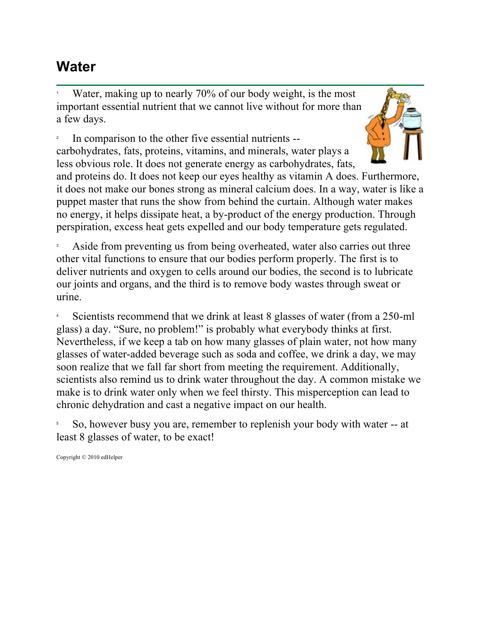## **Water**

1 Water, making up to nearly 70% of our body weight, is the most important essential nutrient that we cannot live without for more than a few days.

2 In comparison to the other five essential nutrients - carbohydrates, fats, proteins, vitamins, and minerals, water plays a less obvious role. It does not generate energy as carbohydrates, fats,



and proteins do. It does not keep our eyes healthy as vitamin A does. Furthermore, it does not make our bones strong as mineral calcium does. In a way, water is like a puppet master that runs the show from behind the curtain. Although water makes no energy, it helps dissipate heat, a by-product of the energy production. Through perspiration, excess heat gets expelled and our body temperature gets regulated.

3 Aside from preventing us from being overheated, water also carries out three other vital functions to ensure that our bodies perform properly. The first is to deliver nutrients and oxygen to cells around our bodies, the second is to lubricate our joints and organs, and the third is to remove body wastes through sweat or urine.

4 Scientists recommend that we drink at least 8 glasses of water (from a 250-ml glass) a day. "Sure, no problem!" is probably what everybody thinks at first. Nevertheless, if we keep a tab on how many glasses of plain water, not how many glasses of water-added beverage such as soda and coffee, we drink a day, we may soon realize that we fall far short from meeting the requirement. Additionally, scientists also remind us to drink water throughout the day. A common mistake we make is to drink water only when we feel thirsty. This misperception can lead to chronic dehydration and cast a negative impact on our health.

5 So, however busy you are, remember to replenish your body with water -- at least 8 glasses of water, to be exact!

Copyright © 2010 edHelper